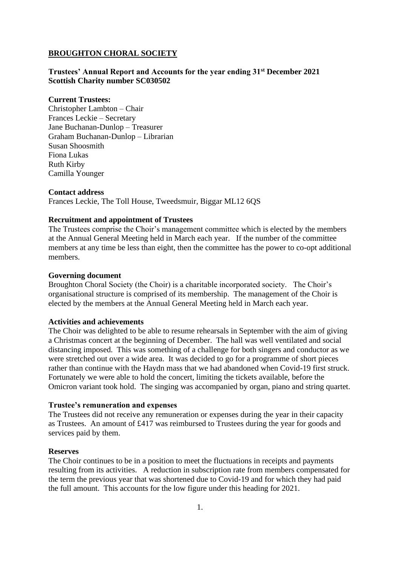#### **BROUGHTON CHORAL SOCIETY**

#### **Trustees' Annual Report and Accounts for the year ending 31st December 2021 Scottish Charity number SC030502**

#### **Current Trustees:**

Christopher Lambton – Chair Frances Leckie – Secretary Jane Buchanan-Dunlop – Treasurer Graham Buchanan-Dunlop – Librarian Susan Shoosmith Fiona Lukas Ruth Kirby Camilla Younger

#### **Contact address**

Frances Leckie, The Toll House, Tweedsmuir, Biggar ML12 6QS

#### **Recruitment and appointment of Trustees**

The Trustees comprise the Choir's management committee which is elected by the members at the Annual General Meeting held in March each year. If the number of the committee members at any time be less than eight, then the committee has the power to co-opt additional members.

#### **Governing document**

Broughton Choral Society (the Choir) is a charitable incorporated society. The Choir's organisational structure is comprised of its membership. The management of the Choir is elected by the members at the Annual General Meeting held in March each year.

#### **Activities and achievements**

The Choir was delighted to be able to resume rehearsals in September with the aim of giving a Christmas concert at the beginning of December. The hall was well ventilated and social distancing imposed. This was something of a challenge for both singers and conductor as we were stretched out over a wide area. It was decided to go for a programme of short pieces rather than continue with the Haydn mass that we had abandoned when Covid-19 first struck. Fortunately we were able to hold the concert, limiting the tickets available, before the Omicron variant took hold. The singing was accompanied by organ, piano and string quartet.

#### **Trustee's remuneration and expenses**

The Trustees did not receive any remuneration or expenses during the year in their capacity as Trustees. An amount of £417 was reimbursed to Trustees during the year for goods and services paid by them.

#### **Reserves**

The Choir continues to be in a position to meet the fluctuations in receipts and payments resulting from its activities. A reduction in subscription rate from members compensated for the term the previous year that was shortened due to Covid-19 and for which they had paid the full amount. This accounts for the low figure under this heading for 2021.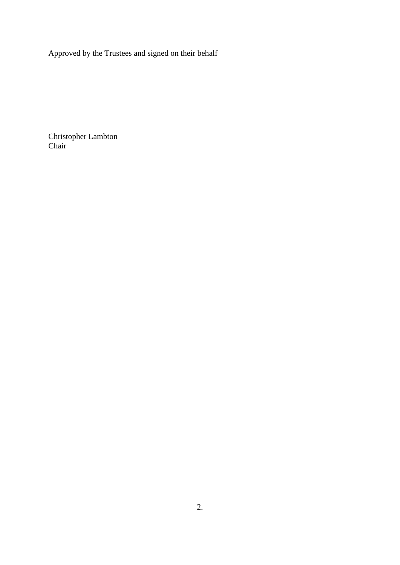Approved by the Trustees and signed on their behalf

Christopher Lambton Chair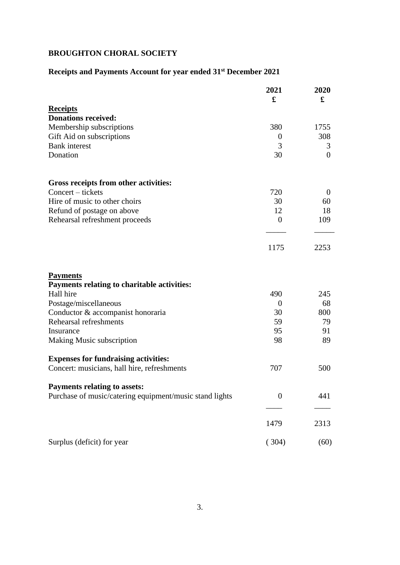## **BROUGHTON CHORAL SOCIETY**

# **Receipts and Payments Account for year ended 31st December 2021**

|                                                                | 2021<br>£      | 2020<br>£      |
|----------------------------------------------------------------|----------------|----------------|
| <b>Receipts</b>                                                |                |                |
| <b>Donations received:</b>                                     |                |                |
| Membership subscriptions                                       | 380            | 1755           |
| Gift Aid on subscriptions                                      | $\theta$       | 308            |
| <b>Bank</b> interest                                           | 3              | 3              |
| Donation                                                       | 30             | $\overline{0}$ |
| Gross receipts from other activities:                          |                |                |
| Concert – tickets                                              | 720            | $\theta$       |
| Hire of music to other choirs                                  | 30             | 60             |
| Refund of postage on above                                     | 12             | 18             |
| Rehearsal refreshment proceeds                                 | $\theta$       | 109            |
|                                                                | 1175           | 2253           |
| <b>Payments</b><br>Payments relating to charitable activities: |                |                |
| Hall hire                                                      | 490            | 245            |
| Postage/miscellaneous                                          | $\theta$       | 68             |
| Conductor & accompanist honoraria                              | 30             | 800            |
| Rehearsal refreshments                                         | 59             | 79             |
| Insurance                                                      | 95             | 91             |
| Making Music subscription                                      | 98             | 89             |
| <b>Expenses for fundraising activities:</b>                    |                |                |
| Concert: musicians, hall hire, refreshments                    | 707            | 500            |
| <b>Payments relating to assets:</b>                            |                |                |
| Purchase of music/catering equipment/music stand lights        | $\overline{0}$ | 441            |
|                                                                | 1479           | 2313           |
| Surplus (deficit) for year                                     | (304)          | (60)           |